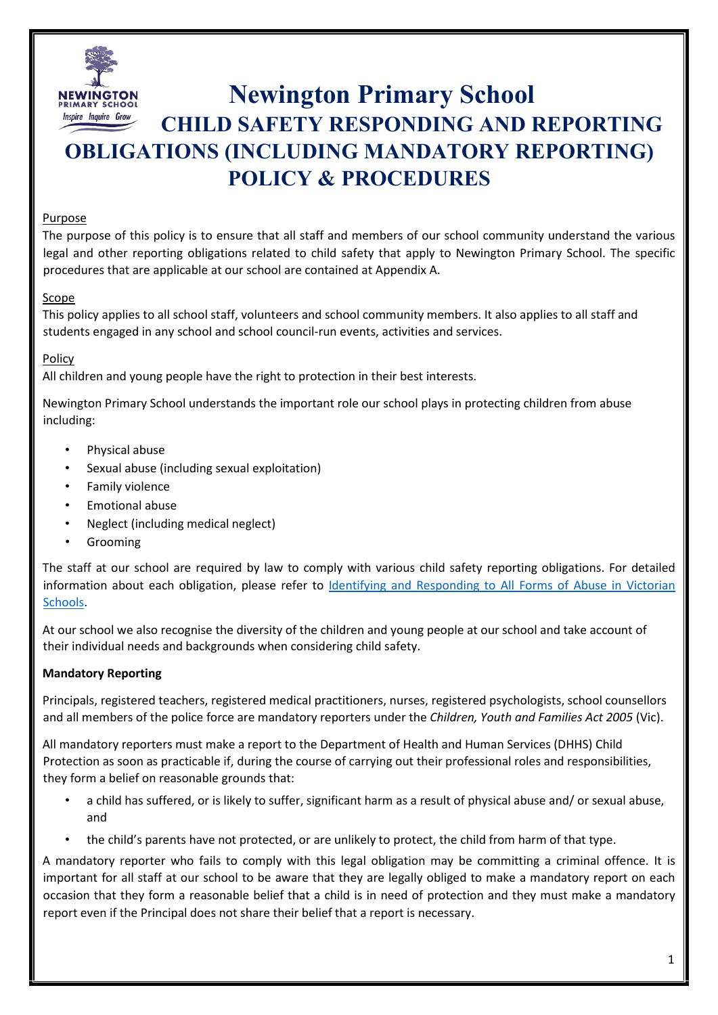

# **Newington Primary School CHILD SAFETY RESPONDING AND REPORTING OBLIGATIONS (INCLUDING MANDATORY REPORTING) POLICY & PROCEDURES**

## Purpose

The purpose of this policy is to ensure that all staff and members of our school community understand the various legal and other reporting obligations related to child safety that apply to Newington Primary School. The specific procedures that are applicable at our school are contained at Appendix A.

## Scope

This policy applies to all school staff, volunteers and school community members. It also applies to all staff and students engaged in any school and school council-run events, activities and services.

## Policy

All children and young people have the right to protection in their best interests.

Newington Primary School understands the important role our school plays in protecting children from abuse including:

- Physical abuse
- Sexual abuse (including sexual exploitation)
- Family violence
- Emotional abuse
- Neglect (including medical neglect)
- **Grooming**

The staff at our school are required by law to comply with various child safety reporting obligations. For detailed information about each obligation, please refer to [Identifying and Responding to All Forms of Abuse in Victorian](https://www.education.vic.gov.au/Documents/about/programs/health/protect/ChildSafeStandard5_SchoolsGuide.pdf) [Schools.](https://www.education.vic.gov.au/Documents/about/programs/health/protect/ChildSafeStandard5_SchoolsGuide.pdf) 

At our school we also recognise the diversity of the children and young people at our school and take account of their individual needs and backgrounds when considering child safety.

## **Mandatory Reporting**

Principals, registered teachers, registered medical practitioners, nurses, registered psychologists, school counsellors and all members of the police force are mandatory reporters under the *Children, Youth and Families Act 2005* (Vic).

All mandatory reporters must make a report to the Department of Health and Human Services (DHHS) Child Protection as soon as practicable if, during the course of carrying out their professional roles and responsibilities, they form a belief on reasonable grounds that:

- a child has suffered, or is likely to suffer, significant harm as a result of physical abuse and/ or sexual abuse, and
- the child's parents have not protected, or are unlikely to protect, the child from harm of that type.

A mandatory reporter who fails to comply with this legal obligation may be committing a criminal offence. It is important for all staff at our school to be aware that they are legally obliged to make a mandatory report on each occasion that they form a reasonable belief that a child is in need of protection and they must make a mandatory report even if the Principal does not share their belief that a report is necessary.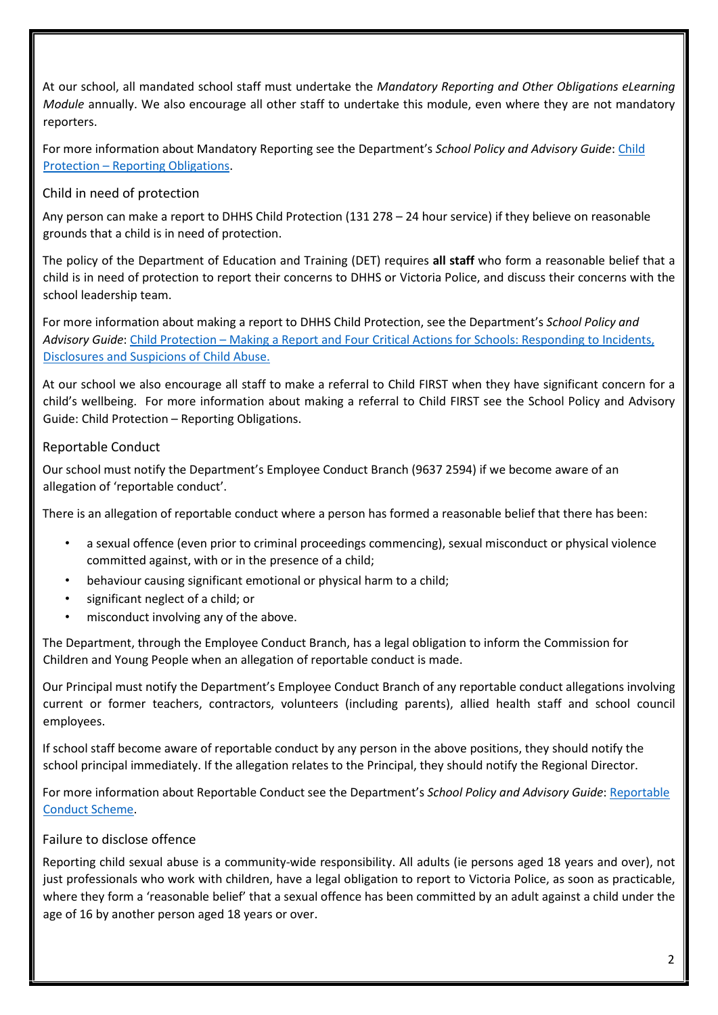At our school, all mandated school staff must undertake the *Mandatory Reporting and Other Obligations eLearning Module* annually. We also encourage all other staff to undertake this module, even where they are not mandatory reporters.

For more information about Mandatory Reporting see the Department's *School Policy and Advisory Guide*[: Child](http://www.education.vic.gov.au/school/principals/spag/safety/Pages/childprotectobligation.aspx) [Protection – Reporting Obligations.](http://www.education.vic.gov.au/school/principals/spag/safety/Pages/childprotectobligation.aspx) 

## Child in need of protection

Any person can make a report to DHHS Child Protection (131 278 – 24 hour service) if they believe on reasonable grounds that a child is in need of protection.

The policy of the Department of Education and Training (DET) requires **all staff** who form a reasonable belief that a child is in need of protection to report their concerns to DHHS or Victoria Police, and discuss their concerns with the school leadership team.

For more information about making a report to DHHS Child Protection, see the Department's *School Policy and Advisory Guide*: [Child Protection – Making a Report](http://www.education.vic.gov.au/school/principals/spag/safety/Pages/childprotectreporting.aspx) [a](http://www.education.vic.gov.au/school/principals/spag/safety/Pages/childprotectreporting.aspx)nd [Four Critical Actions for Schools: Responding to Incidents,](https://www.education.vic.gov.au/Documents/about/programs/health/protect/FourCriticalActions_ChildAbuse.pdf) [Disclosures and Suspicions of Child Abuse.](https://www.education.vic.gov.au/Documents/about/programs/health/protect/FourCriticalActions_ChildAbuse.pdf) 

At our school we also encourage all staff to make a referral to Child FIRST when they have significant concern for a child's wellbeing. For more information about making a referral to Child FIRST see the School Policy and Advisory Guide[: Child Protection – Reporting Obligations.](https://www.education.vic.gov.au/school/principals/spag/safety/Pages/childprotectobligation.aspx) 

## Reportable Conduct

Our school must notify the Department's Employee Conduct Branch (9637 2594) if we become aware of an allegation of 'reportable conduct'.

There is an allegation of reportable conduct where a person has formed a reasonable belief that there has been:

- a sexual offence (even prior to criminal proceedings commencing), sexual misconduct or physical violence committed against, with or in the presence of a child;
- behaviour causing significant emotional or physical harm to a child;
- significant neglect of a child; or
- misconduct involving any of the above.

The Department, through the Employee Conduct Branch, has a legal obligation to inform the Commission for Children and Young People when an allegation of reportable conduct is made.

Our Principal must notify the Department's Employee Conduct Branch of any reportable conduct allegations involving current or former teachers, contractors, volunteers (including parents), allied health staff and school council employees.

If school staff become aware of reportable conduct by any person in the above positions, they should notify the school principal immediately. If the allegation relates to the Principal, they should notify the Regional Director.

For more information about Reportable Conduct see the Department's *School Policy and Advisory Guide*[: Reportable](http://www.education.vic.gov.au/school/principals/spag/safety/Pages/reportableconductscheme.aspx) [Conduct Scheme.](http://www.education.vic.gov.au/school/principals/spag/safety/Pages/reportableconductscheme.aspx) 

## Failure to disclose offence

Reporting child sexual abuse is a community-wide responsibility. All adults (ie persons aged 18 years and over), not just professionals who work with children, have a legal obligation to report to Victoria Police, as soon as practicable, where they form a 'reasonable belief' that a sexual offence has been committed by an adult against a child under the age of 16 by another person aged 18 years or over.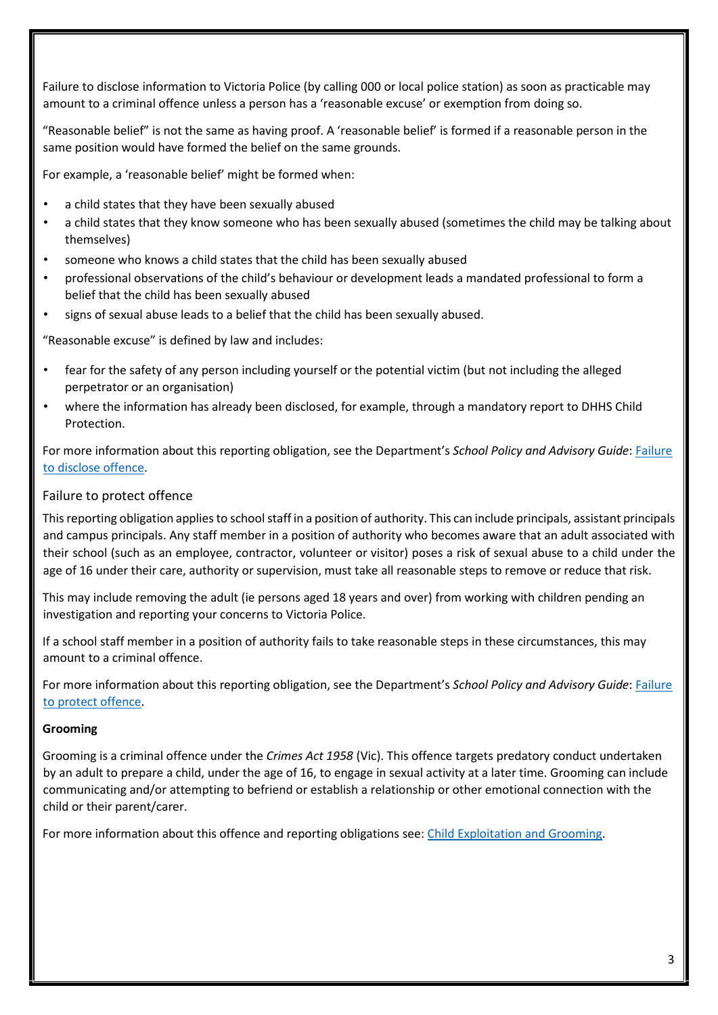Failure to disclose information to Victoria Police (by calling 000 or local police station) as soon as practicable may amount to a criminal offence unless a person has a 'reasonable excuse' or exemption from doing so.

"Reasonable belief" is not the same as having proof. A 'reasonable belief' is formed if a reasonable person in the same position would have formed the belief on the same grounds.

For example, a 'reasonable belief' might be formed when:

- a child states that they have been sexually abused
- a child states that they know someone who has been sexually abused (sometimes the child may be talking about themselves)
- someone who knows a child states that the child has been sexually abused
- professional observations of the child's behaviour or development leads a mandated professional to form a belief that the child has been sexually abused
- signs of sexual abuse leads to a belief that the child has been sexually abused.

"Reasonable excuse" is defined by law and includes:

- fear for the safety of any person including yourself or the potential victim (but not including the alleged perpetrator or an organisation)
- where the information has already been disclosed, for example, through a mandatory report to DHHS Child Protection.

For more information about this reporting obligation, see the Department's *School Policy and Advisory Guide*: [Failure](http://www.education.vic.gov.au/school/principals/spag/safety/Pages/childprotectobligation.aspx) [to disclose offence.](http://www.education.vic.gov.au/school/principals/spag/safety/Pages/childprotectobligation.aspx) 

## Failure to protect offence

This reporting obligation applies to school staff in a position of authority. This can include principals, assistant principals and campus principals. Any staff member in a position of authority who becomes aware that an adult associated with their school (such as an employee, contractor, volunteer or visitor) poses a risk of sexual abuse to a child under the age of 16 under their care, authority or supervision, must take all reasonable steps to remove or reduce that risk.

This may include removing the adult (ie persons aged 18 years and over) from working with children pending an investigation and reporting your concerns to Victoria Police.

If a school staff member in a position of authority fails to take reasonable steps in these circumstances, this may amount to a criminal offence.

For more information about this reporting obligation, see the Department's *School Policy and Advisory Guide*: [Failure](http://www.education.vic.gov.au/school/principals/spag/safety/Pages/childprotectobligation.aspx) [to protect offence.](http://www.education.vic.gov.au/school/principals/spag/safety/Pages/childprotectobligation.aspx) 

#### **Grooming**

Grooming is a criminal offence under the *Crimes Act 1958* (Vic). This offence targets predatory conduct undertaken by an adult to prepare a child, under the age of 16, to engage in sexual activity at a later time. Grooming can include communicating and/or attempting to befriend or establish a relationship or other emotional connection with the child or their parent/carer.

For more information about this offence and reporting obligations see[: Child Exploitation and Grooming.](https://www.education.vic.gov.au/school/teachers/health/childprotection/Pages/expolitationgrooming.aspx)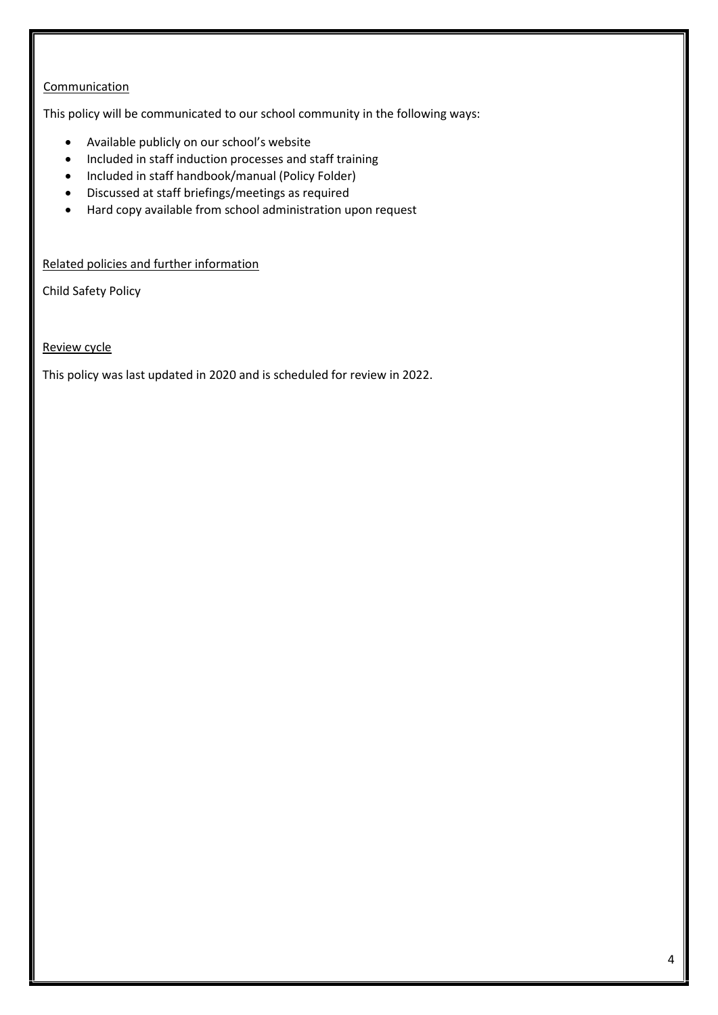## **Communication**

This policy will be communicated to our school community in the following ways:

- Available publicly on our school's website
- Included in staff induction processes and staff training
- Included in staff handbook/manual (Policy Folder)
- Discussed at staff briefings/meetings as required
- Hard copy available from school administration upon request

Related policies and further information

Child Safety Policy

Review cycle

This policy was last updated in 2020 and is scheduled for review in 2022.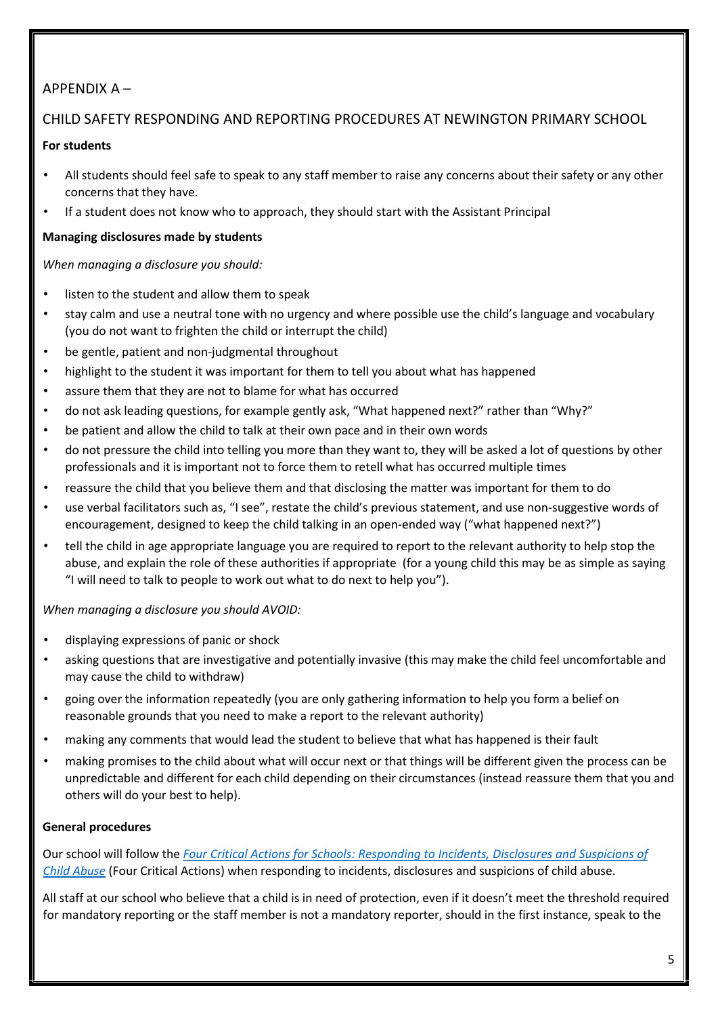## APPENDIX A –

# CHILD SAFETY RESPONDING AND REPORTING PROCEDURES AT NEWINGTON PRIMARY SCHOOL

## **For students**

- All students should feel safe to speak to any staff member to raise any concerns about their safety or any other concerns that they have.
- If a student does not know who to approach, they should start with the Assistant Principal

## **Managing disclosures made by students**

*When managing a disclosure you should:* 

- listen to the student and allow them to speak
- stay calm and use a neutral tone with no urgency and where possible use the child's language and vocabulary (you do not want to frighten the child or interrupt the child)
- be gentle, patient and non-judgmental throughout
- highlight to the student it was important for them to tell you about what has happened
- assure them that they are not to blame for what has occurred
- do not ask leading questions, for example gently ask, "What happened next?" rather than "Why?"
- be patient and allow the child to talk at their own pace and in their own words
- do not pressure the child into telling you more than they want to, they will be asked a lot of questions by other professionals and it is important not to force them to retell what has occurred multiple times
- reassure the child that you believe them and that disclosing the matter was important for them to do
- use verbal facilitators such as, "I see", restate the child's previous statement, and use non-suggestive words of encouragement, designed to keep the child talking in an open-ended way ("what happened next?")
- tell the child in age appropriate language you are required to report to the relevant authority to help stop the abuse, and explain the role of these authorities if appropriate (for a young child this may be as simple as saying "I will need to talk to people to work out what to do next to help you").

## *When managing a disclosure you should AVOID:*

- displaying expressions of panic or shock
- asking questions that are investigative and potentially invasive (this may make the child feel uncomfortable and may cause the child to withdraw)
- going over the information repeatedly (you are only gathering information to help you form a belief on reasonable grounds that you need to make a report to the relevant authority)
- making any comments that would lead the student to believe that what has happened is their fault
- making promises to the child about what will occur next or that things will be different given the process can be unpredictable and different for each child depending on their circumstances (instead reassure them that you and others will do your best to help).

## **General procedures**

Our school will follow the *[Four Critical Actions for Schools: Responding to Incidents, Disclosures and Suspicions of](https://www.education.vic.gov.au/Documents/about/programs/health/protect/FourCriticalActions_ChildAbuse.pdf) [Child Abuse](https://www.education.vic.gov.au/Documents/about/programs/health/protect/FourCriticalActions_ChildAbuse.pdf)* (Four Critical Actions) when responding to incidents, disclosures and suspicions of child abuse.

All staff at our school who believe that a child is in need of protection, even if it doesn't meet the threshold required for mandatory reporting or the staff member is not a mandatory reporter, should in the first instance, speak to the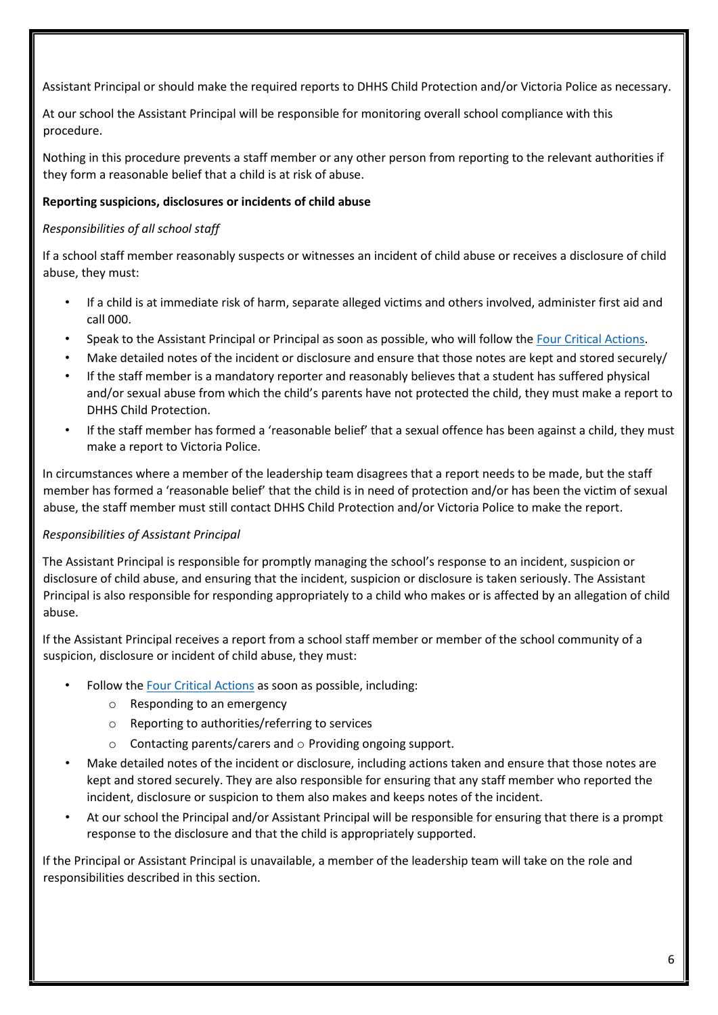Assistant Principal or should make the required reports to DHHS Child Protection and/or Victoria Police as necessary.

At our school the Assistant Principal will be responsible for monitoring overall school compliance with this procedure.

Nothing in this procedure prevents a staff member or any other person from reporting to the relevant authorities if they form a reasonable belief that a child is at risk of abuse.

## **Reporting suspicions, disclosures or incidents of child abuse**

### *Responsibilities of all school staff*

If a school staff member reasonably suspects or witnesses an incident of child abuse or receives a disclosure of child abuse, they must:

- If a child is at immediate risk of harm, separate alleged victims and others involved, administer first aid and call 000.
- Speak to the Assistant Principal or Principal as soon as possible, who will follow the [Four Critical Actions.](https://www.education.vic.gov.au/Documents/about/programs/health/protect/FourCriticalActions_ChildAbuse.pdf)
- Make detailed notes of the incident or disclosure and ensure that those notes are kept and stored securely/
- If the staff member is a mandatory reporter and reasonably believes that a student has suffered physical and/or sexual abuse from which the child's parents have not protected the child, they must make a report to DHHS Child Protection.
- If the staff member has formed a 'reasonable belief' that a sexual offence has been against a child, they must make a report to Victoria Police.

In circumstances where a member of the leadership team disagrees that a report needs to be made, but the staff member has formed a 'reasonable belief' that the child is in need of protection and/or has been the victim of sexual abuse, the staff member must still contact DHHS Child Protection and/or Victoria Police to make the report.

## *Responsibilities of Assistant Principal*

The Assistant Principal is responsible for promptly managing the school's response to an incident, suspicion or disclosure of child abuse, and ensuring that the incident, suspicion or disclosure is taken seriously. The Assistant Principal is also responsible for responding appropriately to a child who makes or is affected by an allegation of child abuse.

If the Assistant Principal receives a report from a school staff member or member of the school community of a suspicion, disclosure or incident of child abuse, they must:

- Follow th[e Four Critical Actions](https://www.education.vic.gov.au/Documents/about/programs/health/protect/FourCriticalActions_ChildAbuse.pdf) [a](https://www.education.vic.gov.au/Documents/about/programs/health/protect/FourCriticalActions_ChildAbuse.pdf)s soon as possible, including:
	- o Responding to an emergency
	- o Reporting to authorities/referring to services
	- $\circ$  Contacting parents/carers and  $\circ$  Providing ongoing support.
- Make detailed notes of the incident or disclosure, including actions taken and ensure that those notes are kept and stored securely. They are also responsible for ensuring that any staff member who reported the incident, disclosure or suspicion to them also makes and keeps notes of the incident.
- At our school the Principal and/or Assistant Principal will be responsible for ensuring that there is a prompt response to the disclosure and that the child is appropriately supported.

If the Principal or Assistant Principal is unavailable, a member of the leadership team will take on the role and responsibilities described in this section.